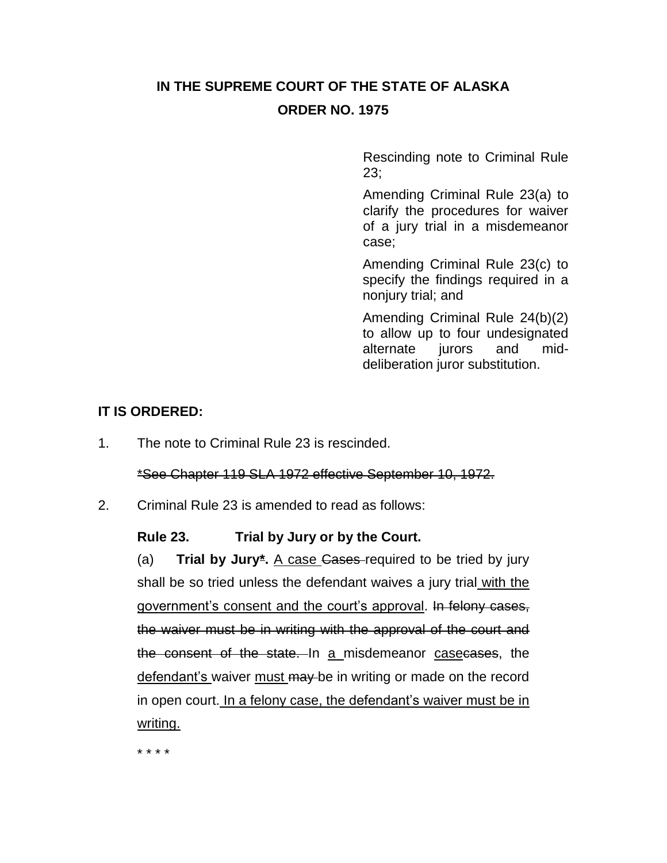## **IN THE SUPREME COURT OF THE STATE OF ALASKA ORDER NO. 1975**

Rescinding note to Criminal Rule 23;

Amending Criminal Rule 23(a) to clarify the procedures for waiver of a jury trial in a misdemeanor case;

Amending Criminal Rule 23(c) to specify the findings required in a nonjury trial; and

Amending Criminal Rule 24(b)(2) to allow up to four undesignated alternate jurors and middeliberation juror substitution.

## **IT IS ORDERED:**

1. The note to Criminal Rule 23 is rescinded.

\*See Chapter 119 SLA 1972 effective September 10, 1972.

2. Criminal Rule 23 is amended to read as follows:

## **Rule 23. Trial by Jury or by the Court.**

(a) **Trial by Jury\*.** A case Cases required to be tried by jury shall be so tried unless the defendant waives a jury trial with the government's consent and the court's approval. In felony cases, the waiver must be in writing with the approval of the court and the consent of the state. In a misdemeanor casecases, the defendant's waiver must may be in writing or made on the record in open court. In a felony case, the defendant's waiver must be in writing.

\* \* \* \*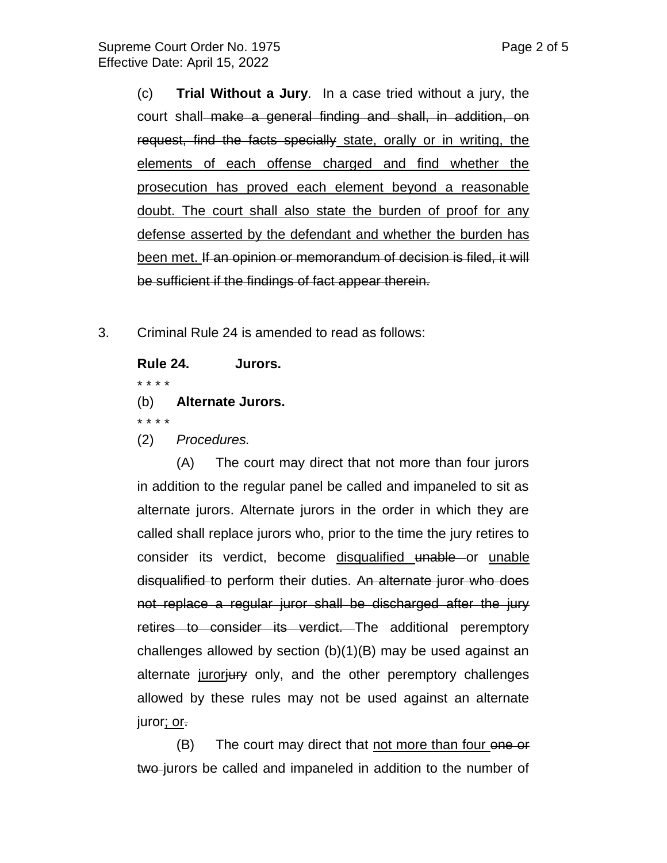(c) **Trial Without a Jury***.* In a case tried without a jury, the court shall make a general finding and shall, in addition, on request, find the facts specially state, orally or in writing, the elements of each offense charged and find whether the prosecution has proved each element beyond a reasonable doubt. The court shall also state the burden of proof for any defense asserted by the defendant and whether the burden has

been met. If an opinion or memorandum of decision is filed, it will be sufficient if the findings of fact appear therein.

3. Criminal Rule 24 is amended to read as follows:

**Rule 24. Jurors.**

\* \* \* \*

(b) **Alternate Jurors.**

\* \* \* \*

(2) *Procedures.*

(A) The court may direct that not more than four jurors in addition to the regular panel be called and impaneled to sit as alternate jurors. Alternate jurors in the order in which they are called shall replace jurors who, prior to the time the jury retires to consider its verdict, become disqualified unable or unable disqualified to perform their duties. An alternate juror who does not replace a regular juror shall be discharged after the jury retires to consider its verdict. The additional peremptory challenges allowed by section (b)(1)(B) may be used against an alternate juroriury only, and the other peremptory challenges allowed by these rules may not be used against an alternate juror; or.

(B) The court may direct that not more than four one or two jurors be called and impaneled in addition to the number of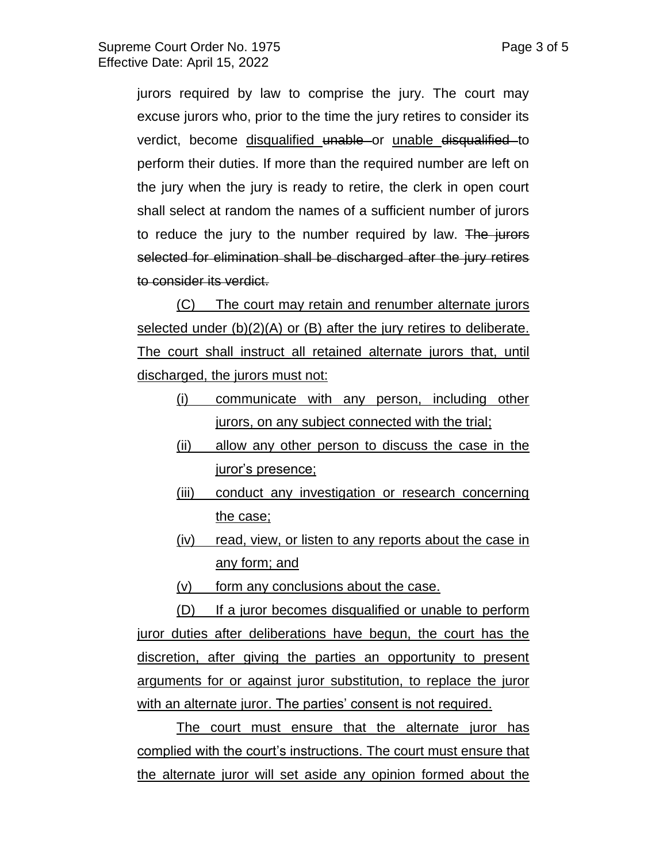jurors required by law to comprise the jury. The court may excuse jurors who, prior to the time the jury retires to consider its verdict, become disqualified unable or unable disqualified to perform their duties. If more than the required number are left on the jury when the jury is ready to retire, the clerk in open court shall select at random the names of a sufficient number of jurors to reduce the jury to the number required by law. The jurors selected for elimination shall be discharged after the jury retires to consider its verdict.

(C) The court may retain and renumber alternate jurors selected under (b)(2)(A) or (B) after the jury retires to deliberate. The court shall instruct all retained alternate jurors that, until discharged, the jurors must not:

- (i) communicate with any person, including other jurors, on any subject connected with the trial;
- (ii) allow any other person to discuss the case in the juror's presence;
- (iii) conduct any investigation or research concerning the case;
- (iv) read, view, or listen to any reports about the case in any form; and
- (v) form any conclusions about the case.

(D) If a juror becomes disqualified or unable to perform juror duties after deliberations have begun, the court has the discretion, after giving the parties an opportunity to present arguments for or against juror substitution, to replace the juror with an alternate juror. The parties' consent is not required.

The court must ensure that the alternate juror has complied with the court's instructions. The court must ensure that the alternate juror will set aside any opinion formed about the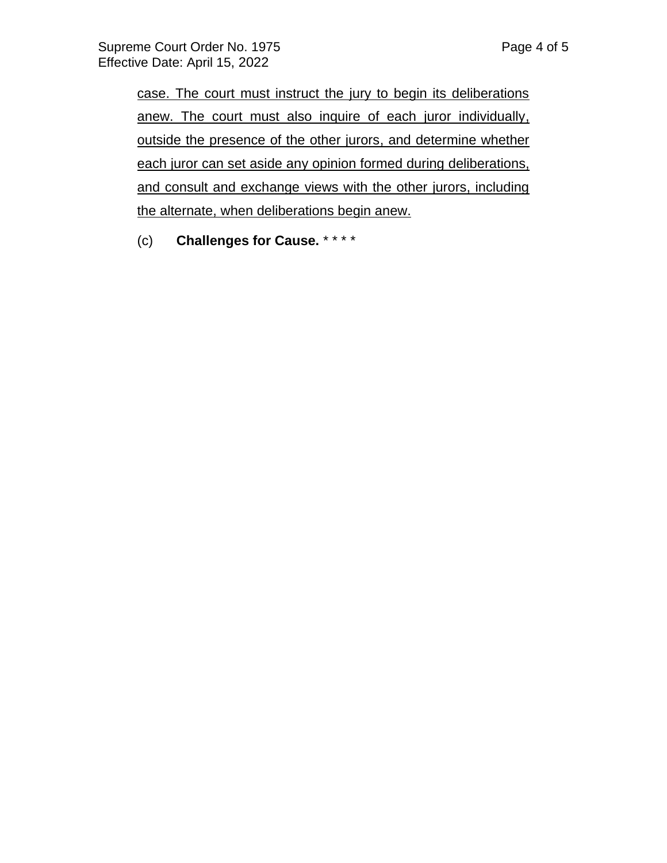case. The court must instruct the jury to begin its deliberations anew. The court must also inquire of each juror individually, outside the presence of the other jurors, and determine whether each juror can set aside any opinion formed during deliberations, and consult and exchange views with the other jurors, including the alternate, when deliberations begin anew.

(c) **Challenges for Cause.** \* \* \* \*